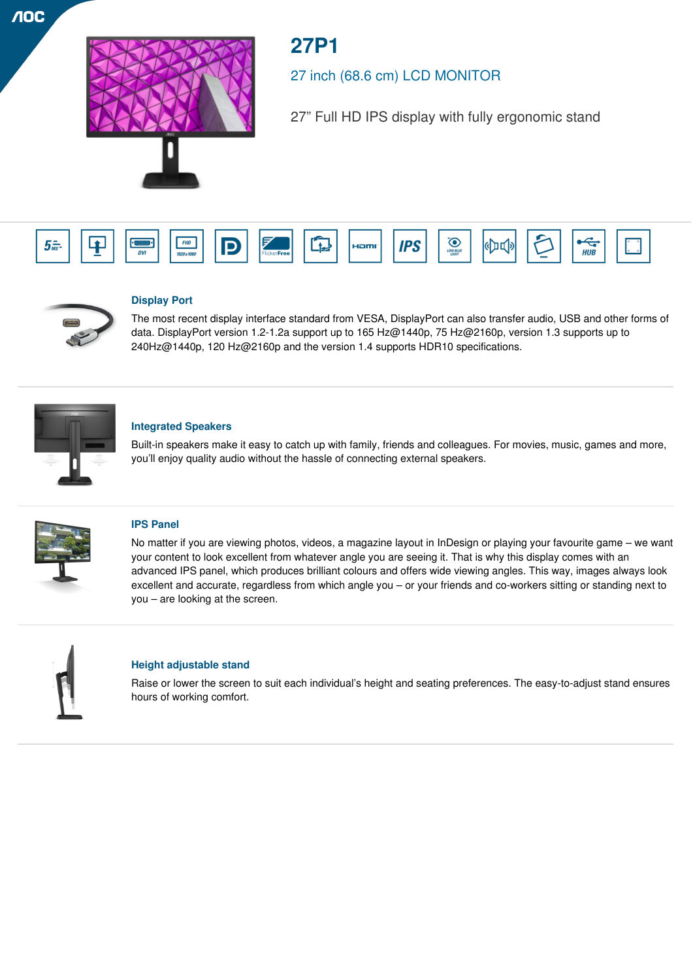

# **27P1**

27 inch (68.6 cm) LCD MONITOR

27" Full HD IPS display with fully ergonomic stand





 $\sqrt{10}$ 

# **Display Port**

The most recent display interface standard from VESA, DisplayPort can also transfer audio, USB and other forms of data. DisplayPort version 1.2-1.2a support up to 165 Hz@1440p, 75 Hz@2160p, version 1.3 supports up to 240Hz@1440p, 120 Hz@2160p and the version 1.4 supports HDR10 specifications.



# **Integrated Speakers**

Built-in speakers make it easy to catch up with family, friends and colleagues. For movies, music, games and more, you'll enjoy quality audio without the hassle of connecting external speakers.



## **IPS Panel**

No matter if you are viewing photos, videos, a magazine layout in InDesign or playing your favourite game – we want your content to look excellent from whatever angle you are seeing it. That is why this display comes with an advanced IPS panel, which produces brilliant colours and offers wide viewing angles. This way, images always look excellent and accurate, regardless from which angle you – or your friends and co-workers sitting or standing next to you – are looking at the screen.



# **Height adjustable stand**

Raise or lower the screen to suit each individual's height and seating preferences. The easy-to-adjust stand ensures hours of working comfort.